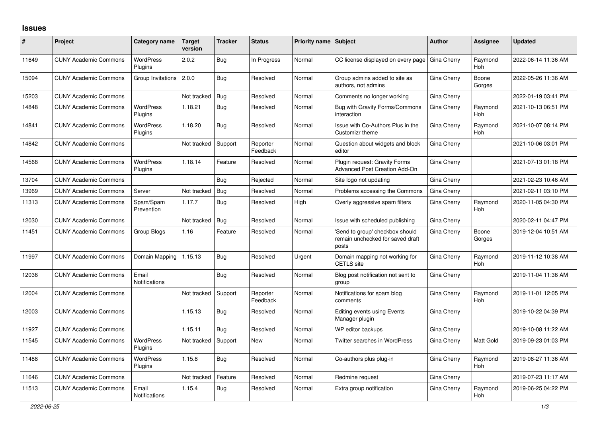## **Issues**

| #     | <b>Project</b>               | Category name                 | <b>Target</b><br>version | <b>Tracker</b> | <b>Status</b>        | <b>Priority name Subject</b> |                                                                             | <b>Author</b> | Assignee              | <b>Updated</b>      |
|-------|------------------------------|-------------------------------|--------------------------|----------------|----------------------|------------------------------|-----------------------------------------------------------------------------|---------------|-----------------------|---------------------|
| 11649 | <b>CUNY Academic Commons</b> | <b>WordPress</b><br>Plugins   | 2.0.2                    | Bug            | In Progress          | Normal                       | CC license displayed on every page                                          | Gina Cherry   | Raymond<br><b>Hoh</b> | 2022-06-14 11:36 AM |
| 15094 | <b>CUNY Academic Commons</b> | Group Invitations             | 2.0.0                    | Bug            | Resolved             | Normal                       | Group admins added to site as<br>authors, not admins                        | Gina Cherry   | Boone<br>Gorges       | 2022-05-26 11:36 AM |
| 15203 | <b>CUNY Academic Commons</b> |                               | Not tracked              | Bug            | Resolved             | Normal                       | Comments no longer working                                                  | Gina Cherry   |                       | 2022-01-19 03:41 PM |
| 14848 | <b>CUNY Academic Commons</b> | <b>WordPress</b><br>Plugins   | 1.18.21                  | Bug            | Resolved             | Normal                       | Bug with Gravity Forms/Commons<br>interaction                               | Gina Cherry   | Raymond<br>Hoh        | 2021-10-13 06:51 PM |
| 14841 | <b>CUNY Academic Commons</b> | <b>WordPress</b><br>Plugins   | 1.18.20                  | Bug            | Resolved             | Normal                       | Issue with Co-Authors Plus in the<br>Customizr theme                        | Gina Cherry   | Raymond<br>Hoh        | 2021-10-07 08:14 PM |
| 14842 | <b>CUNY Academic Commons</b> |                               | Not tracked              | Support        | Reporter<br>Feedback | Normal                       | Question about widgets and block<br>editor                                  | Gina Cherry   |                       | 2021-10-06 03:01 PM |
| 14568 | <b>CUNY Academic Commons</b> | <b>WordPress</b><br>Plugins   | 1.18.14                  | Feature        | Resolved             | Normal                       | Plugin request: Gravity Forms<br><b>Advanced Post Creation Add-On</b>       | Gina Cherry   |                       | 2021-07-13 01:18 PM |
| 13704 | <b>CUNY Academic Commons</b> |                               |                          | Bug            | Rejected             | Normal                       | Site logo not updating                                                      | Gina Cherry   |                       | 2021-02-23 10:46 AM |
| 13969 | <b>CUNY Academic Commons</b> | Server                        | Not tracked              | <b>Bug</b>     | Resolved             | Normal                       | Problems accessing the Commons                                              | Gina Cherry   |                       | 2021-02-11 03:10 PM |
| 11313 | <b>CUNY Academic Commons</b> | Spam/Spam<br>Prevention       | 1.17.7                   | Bug            | Resolved             | High                         | Overly aggressive spam filters                                              | Gina Cherry   | Raymond<br><b>Hoh</b> | 2020-11-05 04:30 PM |
| 12030 | <b>CUNY Academic Commons</b> |                               | Not tracked              | Bug            | Resolved             | Normal                       | Issue with scheduled publishing                                             | Gina Cherry   |                       | 2020-02-11 04:47 PM |
| 11451 | <b>CUNY Academic Commons</b> | Group Blogs                   | 1.16                     | Feature        | Resolved             | Normal                       | Send to group' checkbox should<br>remain unchecked for saved draft<br>posts | Gina Cherry   | Boone<br>Gorges       | 2019-12-04 10:51 AM |
| 11997 | <b>CUNY Academic Commons</b> | Domain Mapping                | 1.15.13                  | Bug            | Resolved             | Urgent                       | Domain mapping not working for<br><b>CETLS</b> site                         | Gina Cherry   | Raymond<br><b>Hoh</b> | 2019-11-12 10:38 AM |
| 12036 | <b>CUNY Academic Commons</b> | Email<br><b>Notifications</b> |                          | Bug            | Resolved             | Normal                       | Blog post notification not sent to<br>group                                 | Gina Cherry   |                       | 2019-11-04 11:36 AM |
| 12004 | <b>CUNY Academic Commons</b> |                               | Not tracked              | Support        | Reporter<br>Feedback | Normal                       | Notifications for spam blog<br>comments                                     | Gina Cherry   | Raymond<br><b>Hoh</b> | 2019-11-01 12:05 PM |
| 12003 | <b>CUNY Academic Commons</b> |                               | 1.15.13                  | Bug            | Resolved             | Normal                       | <b>Editing events using Events</b><br>Manager plugin                        | Gina Cherry   |                       | 2019-10-22 04:39 PM |
| 11927 | <b>CUNY Academic Commons</b> |                               | 1.15.11                  | Bug            | Resolved             | Normal                       | WP editor backups                                                           | Gina Cherry   |                       | 2019-10-08 11:22 AM |
| 11545 | <b>CUNY Academic Commons</b> | <b>WordPress</b><br>Plugins   | Not tracked              | Support        | New                  | Normal                       | <b>Twitter searches in WordPress</b>                                        | Gina Cherry   | Matt Gold             | 2019-09-23 01:03 PM |
| 11488 | <b>CUNY Academic Commons</b> | <b>WordPress</b><br>Plugins   | 1.15.8                   | Bug            | Resolved             | Normal                       | Co-authors plus plug-in                                                     | Gina Cherry   | Raymond<br><b>Hoh</b> | 2019-08-27 11:36 AM |
| 11646 | <b>CUNY Academic Commons</b> |                               | Not tracked              | Feature        | Resolved             | Normal                       | Redmine request                                                             | Gina Cherry   |                       | 2019-07-23 11:17 AM |
| 11513 | <b>CUNY Academic Commons</b> | Email<br><b>Notifications</b> | 1.15.4                   | <b>Bug</b>     | Resolved             | Normal                       | Extra group notification                                                    | Gina Cherry   | Raymond<br>Hoh        | 2019-06-25 04:22 PM |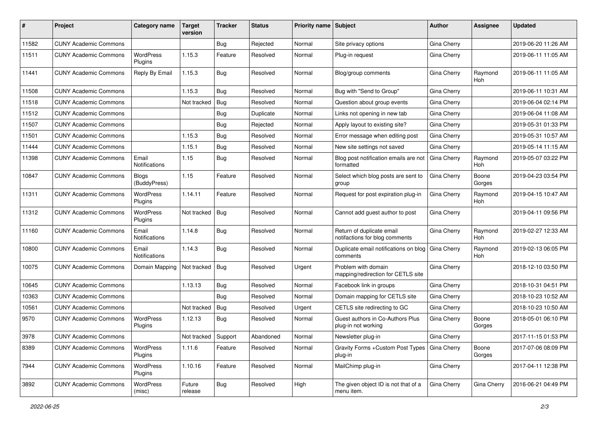| #     | Project                      | Category name                 | Target<br>version | <b>Tracker</b> | <b>Status</b> | Priority name Subject |                                                             | <b>Author</b> | Assignee              | <b>Updated</b>      |
|-------|------------------------------|-------------------------------|-------------------|----------------|---------------|-----------------------|-------------------------------------------------------------|---------------|-----------------------|---------------------|
| 11582 | <b>CUNY Academic Commons</b> |                               |                   | <b>Bug</b>     | Rejected      | Normal                | Site privacy options                                        | Gina Cherry   |                       | 2019-06-20 11:26 AM |
| 11511 | <b>CUNY Academic Commons</b> | <b>WordPress</b><br>Plugins   | 1.15.3            | Feature        | Resolved      | Normal                | Plug-in request                                             | Gina Cherry   |                       | 2019-06-11 11:05 AM |
| 11441 | <b>CUNY Academic Commons</b> | Reply By Email                | 1.15.3            | Bug            | Resolved      | Normal                | Blog/group comments                                         | Gina Cherry   | Raymond<br><b>Hoh</b> | 2019-06-11 11:05 AM |
| 11508 | <b>CUNY Academic Commons</b> |                               | 1.15.3            | Bug            | Resolved      | Normal                | Bug with "Send to Group"                                    | Gina Cherry   |                       | 2019-06-11 10:31 AM |
| 11518 | <b>CUNY Academic Commons</b> |                               | Not tracked       | Bug            | Resolved      | Normal                | Question about group events                                 | Gina Cherry   |                       | 2019-06-04 02:14 PM |
| 11512 | <b>CUNY Academic Commons</b> |                               |                   | <b>Bug</b>     | Duplicate     | Normal                | Links not opening in new tab                                | Gina Cherry   |                       | 2019-06-04 11:08 AM |
| 11507 | <b>CUNY Academic Commons</b> |                               |                   | <b>Bug</b>     | Rejected      | Normal                | Apply layout to existing site?                              | Gina Cherry   |                       | 2019-05-31 01:33 PM |
| 11501 | <b>CUNY Academic Commons</b> |                               | 1.15.3            | <b>Bug</b>     | Resolved      | Normal                | Error message when editing post                             | Gina Cherry   |                       | 2019-05-31 10:57 AM |
| 11444 | <b>CUNY Academic Commons</b> |                               | 1.15.1            | <b>Bug</b>     | Resolved      | Normal                | New site settings not saved                                 | Gina Cherry   |                       | 2019-05-14 11:15 AM |
| 11398 | <b>CUNY Academic Commons</b> | Email<br><b>Notifications</b> | 1.15              | Bug            | Resolved      | Normal                | Blog post notification emails are not<br>formatted          | Gina Cherry   | Raymond<br><b>Hoh</b> | 2019-05-07 03:22 PM |
| 10847 | <b>CUNY Academic Commons</b> | <b>Blogs</b><br>(BuddyPress)  | 1.15              | Feature        | Resolved      | Normal                | Select which blog posts are sent to<br>group                | Gina Cherry   | Boone<br>Gorges       | 2019-04-23 03:54 PM |
| 11311 | <b>CUNY Academic Commons</b> | WordPress<br>Plugins          | 1.14.11           | Feature        | Resolved      | Normal                | Request for post expiration plug-in                         | Gina Cherry   | Raymond<br>Hoh        | 2019-04-15 10:47 AM |
| 11312 | <b>CUNY Academic Commons</b> | <b>WordPress</b><br>Plugins   | Not tracked       | Bug            | Resolved      | Normal                | Cannot add guest author to post                             | Gina Cherry   |                       | 2019-04-11 09:56 PM |
| 11160 | <b>CUNY Academic Commons</b> | Email<br>Notifications        | 1.14.8            | Bug            | Resolved      | Normal                | Return of duplicate email<br>notifactions for blog comments | Gina Cherry   | Raymond<br><b>Hoh</b> | 2019-02-27 12:33 AM |
| 10800 | <b>CUNY Academic Commons</b> | Email<br>Notifications        | 1.14.3            | Bug            | Resolved      | Normal                | Duplicate email notifications on blog<br>comments           | Gina Cherry   | Raymond<br>Hoh        | 2019-02-13 06:05 PM |
| 10075 | <b>CUNY Academic Commons</b> | Domain Mapping                | Not tracked       | Bug            | Resolved      | Urgent                | Problem with domain<br>mapping/redirection for CETLS site   | Gina Cherry   |                       | 2018-12-10 03:50 PM |
| 10645 | <b>CUNY Academic Commons</b> |                               | 1.13.13           | Bug            | Resolved      | Normal                | Facebook link in groups                                     | Gina Cherry   |                       | 2018-10-31 04:51 PM |
| 10363 | <b>CUNY Academic Commons</b> |                               |                   | Bug            | Resolved      | Normal                | Domain mapping for CETLS site                               | Gina Cherry   |                       | 2018-10-23 10:52 AM |
| 10561 | <b>CUNY Academic Commons</b> |                               | Not tracked       | Bug            | Resolved      | Urgent                | CETLS site redirecting to GC                                | Gina Cherry   |                       | 2018-10-23 10:50 AM |
| 9570  | <b>CUNY Academic Commons</b> | <b>WordPress</b><br>Plugins   | 1.12.13           | Bug            | Resolved      | Normal                | Guest authors in Co-Authors Plus<br>plug-in not working     | Gina Cherry   | Boone<br>Gorges       | 2018-05-01 06:10 PM |
| 3978  | <b>CUNY Academic Commons</b> |                               | Not tracked       | Support        | Abandoned     | Normal                | Newsletter plug-in                                          | Gina Cherry   |                       | 2017-11-15 01:53 PM |
| 8389  | <b>CUNY Academic Commons</b> | <b>WordPress</b><br>Plugins   | 1.11.6            | Feature        | Resolved      | Normal                | Gravity Forms + Custom Post Types   Gina Cherry<br>plug-in  |               | Boone<br>Gorges       | 2017-07-06 08:09 PM |
| 7944  | <b>CUNY Academic Commons</b> | WordPress<br>Plugins          | 1.10.16           | Feature        | Resolved      | Normal                | MailChimp plug-in                                           | Gina Cherry   |                       | 2017-04-11 12:38 PM |
| 3892  | <b>CUNY Academic Commons</b> | WordPress<br>(misc)           | Future<br>release | <b>Bug</b>     | Resolved      | High                  | The given object ID is not that of a<br>menu item.          | Gina Cherry   | Gina Cherry           | 2016-06-21 04:49 PM |